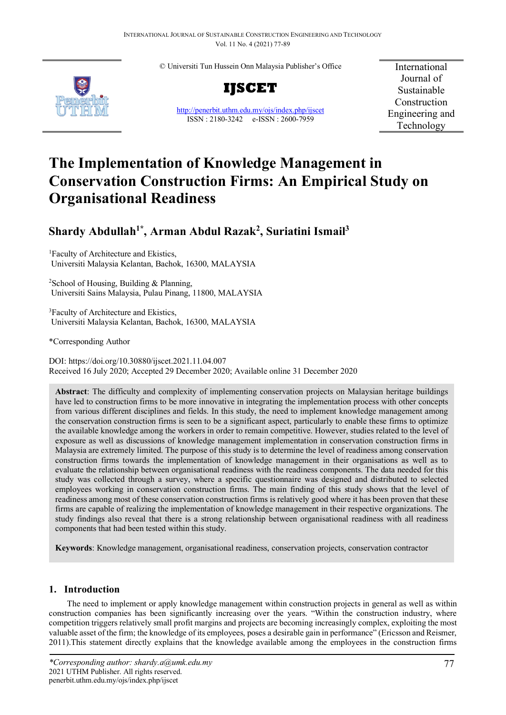© Universiti Tun Hussein Onn Malaysia Publisher's Office



**IJSCET**

<http://penerbit.uthm.edu.my/ojs/index.php/ijscet> ISSN : 2180-3242 e-ISSN : 2600-7959

International Journal of Sustainable Construction Engineering and Technology

# **The Implementation of Knowledge Management in Conservation Construction Firms: An Empirical Study on Organisational Readiness**

# **Shardy Abdullah1\*, Arman Abdul Razak2 , Suriatini Ismail3**

1 Faculty of Architecture and Ekistics, Universiti Malaysia Kelantan, Bachok, 16300, MALAYSIA

2 School of Housing, Building & Planning, Universiti Sains Malaysia, Pulau Pinang, 11800, MALAYSIA

3 Faculty of Architecture and Ekistics, Universiti Malaysia Kelantan, Bachok, 16300, MALAYSIA

\*Corresponding Author

DOI: https://doi.org/10.30880/ijscet.2021.11.04.007 Received 16 July 2020; Accepted 29 December 2020; Available online 31 December 2020

**Abstract**: The difficulty and complexity of implementing conservation projects on Malaysian heritage buildings have led to construction firms to be more innovative in integrating the implementation process with other concepts from various different disciplines and fields. In this study, the need to implement knowledge management among the conservation construction firms is seen to be a significant aspect, particularly to enable these firms to optimize the available knowledge among the workers in order to remain competitive. However, studies related to the level of exposure as well as discussions of knowledge management implementation in conservation construction firms in Malaysia are extremely limited. The purpose of this study is to determine the level of readiness among conservation construction firms towards the implementation of knowledge management in their organisations as well as to evaluate the relationship between organisational readiness with the readiness components. The data needed for this study was collected through a survey, where a specific questionnaire was designed and distributed to selected employees working in conservation construction firms. The main finding of this study shows that the level of readiness among most of these conservation construction firms is relatively good where it has been proven that these firms are capable of realizing the implementation of knowledge management in their respective organizations. The study findings also reveal that there is a strong relationship between organisational readiness with all readiness components that had been tested within this study.

**Keywords**: Knowledge management, organisational readiness, conservation projects, conservation contractor

# **1. Introduction**

The need to implement or apply knowledge management within construction projects in general as well as within construction companies has been significantly increasing over the years. "Within the construction industry, where competition triggers relatively small profit margins and projects are becoming increasingly complex, exploiting the most valuable asset of the firm; the knowledge of its employees, poses a desirable gain in performance" (Ericsson and Reismer, 2011).This statement directly explains that the knowledge available among the employees in the construction firms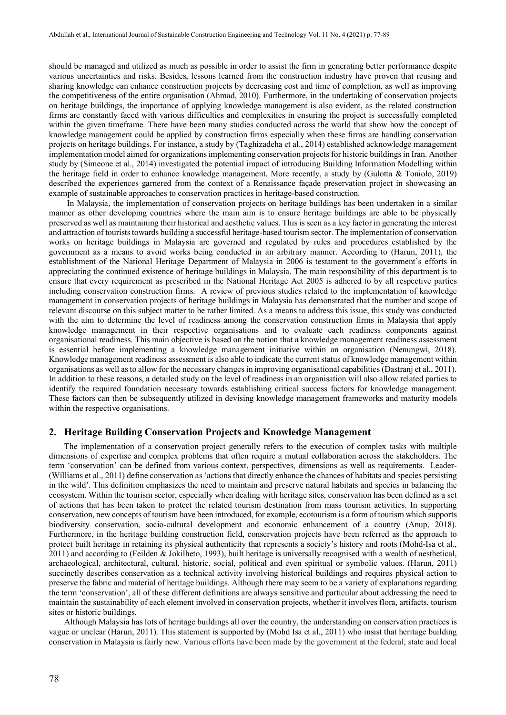should be managed and utilized as much as possible in order to assist the firm in generating better performance despite various uncertainties and risks. Besides, lessons learned from the construction industry have proven that reusing and sharing knowledge can enhance construction projects by decreasing cost and time of completion, as well as improving the competitiveness of the entire organisation (Ahmad, 2010). Furthermore, in the undertaking of conservation projects on heritage buildings, the importance of applying knowledge management is also evident, as the related construction firms are constantly faced with various difficulties and complexities in ensuring the project is successfully completed within the given timeframe. There have been many studies conducted across the world that show how the concept of knowledge management could be applied by construction firms especially when these firms are handling conservation projects on heritage buildings. For instance, a study by (Taghizadeha et al., 2014) established acknowledge management implementation model aimed for organizations implementing conservation projects for historic buildings in Iran. Another study by (Simeone et al., 2014) investigated the potential impact of introducing Building Information Modelling within the heritage field in order to enhance knowledge management. More recently, a study by (Gulotta & Toniolo, 2019) described the experiences garnered from the context of a Renaissance façade preservation project in showcasing an example of sustainable approaches to conservation practices in heritage-based construction.

In Malaysia, the implementation of conservation projects on heritage buildings has been undertaken in a similar manner as other developing countries where the main aim is to ensure heritage buildings are able to be physically preserved as well as maintaining their historical and aesthetic values. This is seen as a key factor in generating the interest and attraction of tourists towards building a successful heritage-based tourism sector. The implementation of conservation works on heritage buildings in Malaysia are governed and regulated by rules and procedures established by the government as a means to avoid works being conducted in an arbitrary manner. According to (Harun, 2011), the establishment of the National Heritage Department of Malaysia in 2006 is testament to the government's efforts in appreciating the continued existence of heritage buildings in Malaysia. The main responsibility of this department is to ensure that every requirement as prescribed in the National Heritage Act 2005 is adhered to by all respective parties including conservation construction firms. A review of previous studies related to the implementation of knowledge management in conservation projects of heritage buildings in Malaysia has demonstrated that the number and scope of relevant discourse on this subject matter to be rather limited. As a means to address this issue, this study was conducted with the aim to determine the level of readiness among the conservation construction firms in Malaysia that apply knowledge management in their respective organisations and to evaluate each readiness components against organisational readiness. This main objective is based on the notion that a knowledge management readiness assessment is essential before implementing a knowledge management initiative within an organisation (Nenungwi, 2018). Knowledge management readiness assessment is also able to indicate the current status of knowledge management within organisations as well as to allow for the necessary changes in improving organisational capabilities (Dastranj et al., 2011). In addition to these reasons, a detailed study on the level of readiness in an organisation will also allow related parties to identify the required foundation necessary towards establishing critical success factors for knowledge management. These factors can then be subsequently utilized in devising knowledge management frameworks and maturity models within the respective organisations.

#### **2. Heritage Building Conservation Projects and Knowledge Management**

The implementation of a conservation project generally refers to the execution of complex tasks with multiple dimensions of expertise and complex problems that often require a mutual collaboration across the stakeholders. The term 'conservation' can be defined from various context, perspectives, dimensions as well as requirements. Leader- (Williams et al., 2011) define conservation as 'actions that directly enhance the chances of habitats and species persisting in the wild'. This definition emphasizes the need to maintain and preserve natural habitats and species in balancing the ecosystem. Within the tourism sector, especially when dealing with heritage sites, conservation has been defined as a set of actions that has been taken to protect the related tourism destination from mass tourism activities. In supporting conservation, new concepts of tourism have been introduced, for example, ecotourism is a form of tourism which supports biodiversity conservation, socio-cultural development and economic enhancement of a country (Anup, 2018). Furthermore, in the heritage building construction field, conservation projects have been referred as the approach to protect built heritage in retaining its physical authenticity that represents a society's history and roots (Mohd-Isa et al., 2011) and according to (Feilden & Jokilheto, 1993), built heritage is universally recognised with a wealth of aesthetical, archaeological, architectural, cultural, historic, social, political and even spiritual or symbolic values. (Harun, 2011) succinctly describes conservation as a technical activity involving historical buildings and requires physical action to preserve the fabric and material of heritage buildings. Although there may seem to be a variety of explanations regarding the term 'conservation', all of these different definitions are always sensitive and particular about addressing the need to maintain the sustainability of each element involved in conservation projects, whether it involves flora, artifacts, tourism sites or historic buildings.

Although Malaysia has lots of heritage buildings all over the country, the understanding on conservation practices is vague or unclear (Harun, 2011). This statement is supported by (Mohd Isa et al., 2011) who insist that heritage building conservation in Malaysia is fairly new. Various efforts have been made by the government at the federal, state and local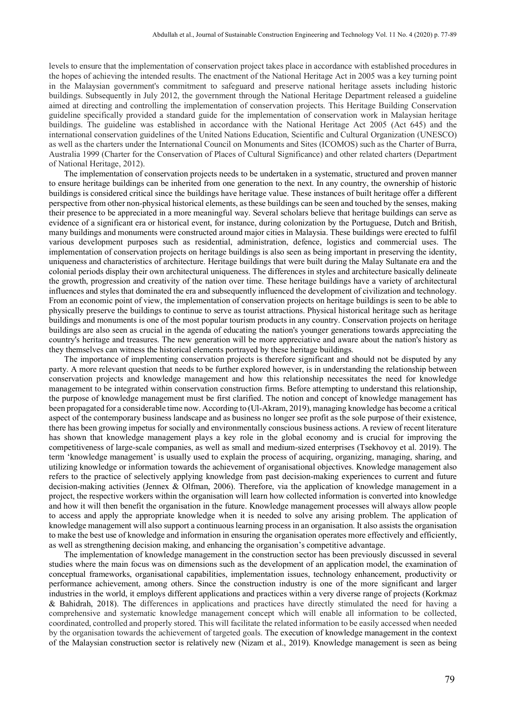levels to ensure that the implementation of conservation project takes place in accordance with established procedures in the hopes of achieving the intended results. The enactment of the National Heritage Act in 2005 was a key turning point in the Malaysian government's commitment to safeguard and preserve national heritage assets including historic buildings. Subsequently in July 2012, the government through the National Heritage Department released a guideline aimed at directing and controlling the implementation of conservation projects. This Heritage Building Conservation guideline specifically provided a standard guide for the implementation of conservation work in Malaysian heritage buildings. The guideline was established in accordance with the National Heritage Act 2005 (Act 645) and the international conservation guidelines of the United Nations Education, Scientific and Cultural Organization (UNESCO) as well as the charters under the International Council on Monuments and Sites (ICOMOS) such as the Charter of Burra, Australia 1999 (Charter for the Conservation of Places of Cultural Significance) and other related charters (Department of National Heritage, 2012).

The implementation of conservation projects needs to be undertaken in a systematic, structured and proven manner to ensure heritage buildings can be inherited from one generation to the next. In any country, the ownership of historic buildings is considered critical since the buildings have heritage value. These instances of built heritage offer a different perspective from other non-physical historical elements, as these buildings can be seen and touched by the senses, making their presence to be appreciated in a more meaningful way. Several scholars believe that heritage buildings can serve as evidence of a significant era or historical event, for instance, during colonization by the Portuguese, Dutch and British, many buildings and monuments were constructed around major cities in Malaysia. These buildings were erected to fulfil various development purposes such as residential, administration, defence, logistics and commercial uses. The implementation of conservation projects on heritage buildings is also seen as being important in preserving the identity, uniqueness and characteristics of architecture. Heritage buildings that were built during the Malay Sultanate era and the colonial periods display their own architectural uniqueness. The differences in styles and architecture basically delineate the growth, progression and creativity of the nation over time. These heritage buildings have a variety of architectural influences and styles that dominated the era and subsequently influenced the development of civilization and technology. From an economic point of view, the implementation of conservation projects on heritage buildings is seen to be able to physically preserve the buildings to continue to serve as tourist attractions. Physical historical heritage such as heritage buildings and monuments is one of the most popular tourism products in any country. Conservation projects on heritage buildings are also seen as crucial in the agenda of educating the nation's younger generations towards appreciating the country's heritage and treasures. The new generation will be more appreciative and aware about the nation's history as they themselves can witness the historical elements portrayed by these heritage buildings.

The importance of implementing conservation projects is therefore significant and should not be disputed by any party. A more relevant question that needs to be further explored however, is in understanding the relationship between conservation projects and knowledge management and how this relationship necessitates the need for knowledge management to be integrated within conservation construction firms. Before attempting to understand this relationship, the purpose of knowledge management must be first clarified. The notion and concept of knowledge management has been propagated for a considerable time now. According to (Ul-Akram, 2019), managing knowledge has become a critical aspect of the contemporary business landscape and as business no longer see profit as the sole purpose of their existence, there has been growing impetus for socially and environmentally conscious business actions. A review of recent literature has shown that knowledge management plays a key role in the global economy and is crucial for improving the competitiveness of large-scale companies, as well as small and medium-sized enterprises (Tsekhovoy et al. 2019). The term 'knowledge management' is usually used to explain the process of acquiring, organizing, managing, sharing, and utilizing knowledge or information towards the achievement of organisational objectives. Knowledge management also refers to the practice of selectively applying knowledge from past decision-making experiences to current and future decision-making activities (Jennex & Olfman, 2006). Therefore, via the application of knowledge management in a project, the respective workers within the organisation will learn how collected information is converted into knowledge and how it will then benefit the organisation in the future. Knowledge management processes will always allow people to access and apply the appropriate knowledge when it is needed to solve any arising problem. The application of knowledge management will also support a continuous learning process in an organisation. It also assists the organisation to make the best use of knowledge and information in ensuring the organisation operates more effectively and efficiently, as well as strengthening decision making, and enhancing the organisation's competitive advantage.

The implementation of knowledge management in the construction sector has been previously discussed in several studies where the main focus was on dimensions such as the development of an application model, the examination of conceptual frameworks, organisational capabilities, implementation issues, technology enhancement, productivity or performance achievement, among others. Since the construction industry is one of the more significant and larger industries in the world, it employs different applications and practices within a very diverse range of projects (Korkmaz & Bahidrah, 2018). The differences in applications and practices have directly stimulated the need for having a comprehensive and systematic knowledge management concept which will enable all information to be collected, coordinated, controlled and properly stored. This will facilitate the related information to be easily accessed when needed by the organisation towards the achievement of targeted goals. The execution of knowledge management in the context of the Malaysian construction sector is relatively new (Nizam et al., 2019). Knowledge management is seen as being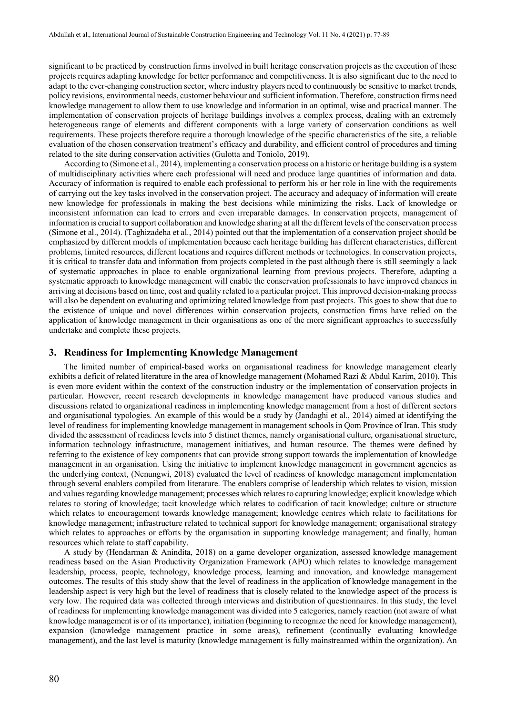significant to be practiced by construction firms involved in built heritage conservation projects as the execution of these projects requires adapting knowledge for better performance and competitiveness. It is also significant due to the need to adapt to the ever-changing construction sector, where industry players need to continuously be sensitive to market trends, policy revisions, environmental needs, customer behaviour and sufficient information. Therefore, construction firms need knowledge management to allow them to use knowledge and information in an optimal, wise and practical manner. The implementation of conservation projects of heritage buildings involves a complex process, dealing with an extremely heterogeneous range of elements and different components with a large variety of conservation conditions as well requirements. These projects therefore require a thorough knowledge of the specific characteristics of the site, a reliable evaluation of the chosen conservation treatment's efficacy and durability, and efficient control of procedures and timing related to the site during conservation activities (Gulotta and Toniolo, 2019).

According to (Simone et al., 2014), implementing a conservation process on a historic or heritage building is a system of multidisciplinary activities where each professional will need and produce large quantities of information and data. Accuracy of information is required to enable each professional to perform his or her role in line with the requirements of carrying out the key tasks involved in the conservation project. The accuracy and adequacy of information will create new knowledge for professionals in making the best decisions while minimizing the risks. Lack of knowledge or inconsistent information can lead to errors and even irreparable damages. In conservation projects, management of information is crucial to support collaboration and knowledge sharing at all the different levels of the conservation process (Simone et al., 2014). (Taghizadeha et al., 2014) pointed out that the implementation of a conservation project should be emphasized by different models of implementation because each heritage building has different characteristics, different problems, limited resources, different locations and requires different methods or technologies. In conservation projects, it is critical to transfer data and information from projects completed in the past although there is still seemingly a lack of systematic approaches in place to enable organizational learning from previous projects. Therefore, adapting a systematic approach to knowledge management will enable the conservation professionals to have improved chances in arriving at decisions based on time, cost and quality related to a particular project. This improved decision-making process will also be dependent on evaluating and optimizing related knowledge from past projects. This goes to show that due to the existence of unique and novel differences within conservation projects, construction firms have relied on the application of knowledge management in their organisations as one of the more significant approaches to successfully undertake and complete these projects.

#### **3. Readiness for Implementing Knowledge Management**

The limited number of empirical-based works on organisational readiness for knowledge management clearly exhibits a deficit of related literature in the area of knowledge management (Mohamed Razi & Abdul Karim, 2010). This is even more evident within the context of the construction industry or the implementation of conservation projects in particular. However, recent research developments in knowledge management have produced various studies and discussions related to organizational readiness in implementing knowledge management from a host of different sectors and organisational typologies. An example of this would be a study by (Jandaghi et al., 2014) aimed at identifying the level of readiness for implementing knowledge management in management schools in Qom Province of Iran. This study divided the assessment of readiness levels into 5 distinct themes, namely organisational culture, organisational structure, information technology infrastructure, management initiatives, and human resource. The themes were defined by referring to the existence of key components that can provide strong support towards the implementation of knowledge management in an organisation. Using the initiative to implement knowledge management in government agencies as the underlying context, (Nenungwi, 2018) evaluated the level of readiness of knowledge management implementation through several enablers compiled from literature. The enablers comprise of leadership which relates to vision, mission and values regarding knowledge management; processes which relates to capturing knowledge; explicit knowledge which relates to storing of knowledge; tacit knowledge which relates to codification of tacit knowledge; culture or structure which relates to encouragement towards knowledge management; knowledge centres which relate to facilitations for knowledge management; infrastructure related to technical support for knowledge management; organisational strategy which relates to approaches or efforts by the organisation in supporting knowledge management; and finally, human resources which relate to staff capability.

A study by (Hendarman & Anindita, 2018) on a game developer organization, assessed knowledge management readiness based on the Asian Productivity Organization Framework (APO) which relates to knowledge management leadership, process, people, technology, knowledge process, learning and innovation, and knowledge management outcomes. The results of this study show that the level of readiness in the application of knowledge management in the leadership aspect is very high but the level of readiness that is closely related to the knowledge aspect of the process is very low. The required data was collected through interviews and distribution of questionnaires. In this study, the level of readiness for implementing knowledge management was divided into 5 categories, namely reaction (not aware of what knowledge management is or of its importance), initiation (beginning to recognize the need for knowledge management), expansion (knowledge management practice in some areas), refinement (continually evaluating knowledge management), and the last level is maturity (knowledge management is fully mainstreamed within the organization). An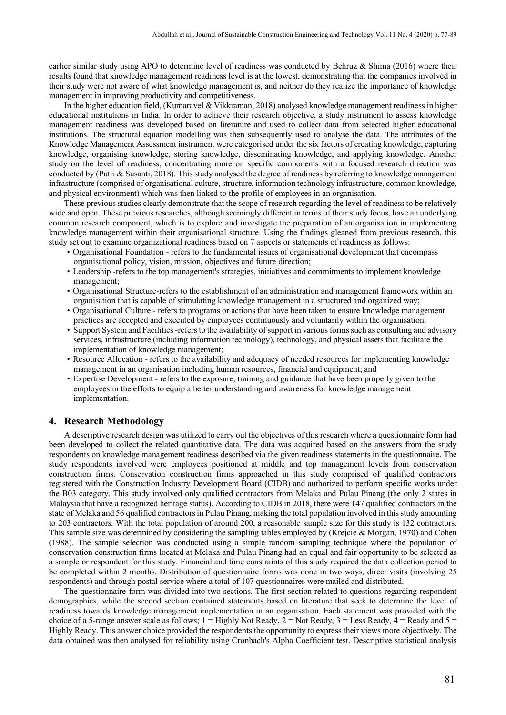earlier similar study using APO to determine level of readiness was conducted by Behruz & Shima (2016) where their results found that knowledge management readiness level is at the lowest, demonstrating that the companies involved in their study were not aware of what knowledge management is, and neither do they realize the importance of knowledge management in improving productivity and competitiveness.

In the higher education field, (Kumaravel & Vikkraman, 2018) analysed knowledge management readiness in higher educational institutions in India. In order to achieve their research objective, a study instrument to assess knowledge management readiness was developed based on literature and used to collect data from selected higher educational institutions. The structural equation modelling was then subsequently used to analyse the data. The attributes of the Knowledge Management Assessment instrument were categorised under the six factors of creating knowledge, capturing knowledge, organising knowledge, storing knowledge, disseminating knowledge, and applying knowledge. Another study on the level of readiness, concentrating more on specific components with a focused research direction was conducted by (Putri & Susanti, 2018). This study analysed the degree of readiness by referring to knowledge management infrastructure (comprised of organisational culture, structure, information technology infrastructure, common knowledge, and physical environment) which was then linked to the profile of employees in an organisation.

These previous studies clearly demonstrate that the scope of research regarding the level of readiness to be relatively wide and open. These previous researches, although seemingly different in terms of their study focus, have an underlying common research component, which is to explore and investigate the preparation of an organisation in implementing knowledge management within their organisational structure. Using the findings gleaned from previous research, this study set out to examine organizational readiness based on 7 aspects or statements of readiness as follows:

- Organisational Foundation refers to the fundamental issues of organisational development that encompass organisational policy, vision, mission, objectives and future direction;
- Leadership -refers to the top management's strategies, initiatives and commitments to implement knowledge management;
- Organisational Structure-refers to the establishment of an administration and management framework within an organisation that is capable of stimulating knowledge management in a structured and organized way;
- Organisational Culture refers to programs or actions that have been taken to ensure knowledge management practices are accepted and executed by employees continuously and voluntarily within the organisation;
- Support System and Facilities -refers to the availability of support in various forms such as consulting and advisory services, infrastructure (including information technology), technology, and physical assets that facilitate the implementation of knowledge management;
- Resource Allocation refers to the availability and adequacy of needed resources for implementing knowledge management in an organisation including human resources, financial and equipment; and
- Expertise Development refers to the exposure, training and guidance that have been properly given to the employees in the efforts to equip a better understanding and awareness for knowledge management implementation.

#### **4. Research Methodology**

A descriptive research design was utilized to carry out the objectives of this research where a questionnaire form had been developed to collect the related quantitative data. The data was acquired based on the answers from the study respondents on knowledge management readiness described via the given readiness statements in the questionnaire. The study respondents involved were employees positioned at middle and top management levels from conservation construction firms. Conservation construction firms approached in this study comprised of qualified contractors registered with the Construction Industry Development Board (CIDB) and authorized to perform specific works under the B03 category. This study involved only qualified contractors from Melaka and Pulau Pinang (the only 2 states in Malaysia that have a recognized heritage status). According to CIDB in 2018, there were 147 qualified contractors in the state of Melaka and 56 qualified contractors in Pulau Pinang, making the total population involved in this study amounting to 203 contractors. With the total population of around 200, a reasonable sample size for this study is 132 contractors. This sample size was determined by considering the sampling tables employed by (Krejcie & Morgan, 1970) and Cohen (1988). The sample selection was conducted using a simple random sampling technique where the population of conservation construction firms located at Melaka and Pulau Pinang had an equal and fair opportunity to be selected as a sample or respondent for this study. Financial and time constraints of this study required the data collection period to be completed within 2 months. Distribution of questionnaire forms was done in two ways, direct visits (involving 25 respondents) and through postal service where a total of 107 questionnaires were mailed and distributed.

The questionnaire form was divided into two sections. The first section related to questions regarding respondent demographics, while the second section contained statements based on literature that seek to determine the level of readiness towards knowledge management implementation in an organisation. Each statement was provided with the choice of a 5-range answer scale as follows;  $1 =$  Highly Not Ready,  $2 =$  Not Ready,  $3 =$  Less Ready,  $4 =$  Ready and  $5 =$ Highly Ready. This answer choice provided the respondents the opportunity to express their views more objectively. The data obtained was then analysed for reliability using Cronbach's Alpha Coefficient test. Descriptive statistical analysis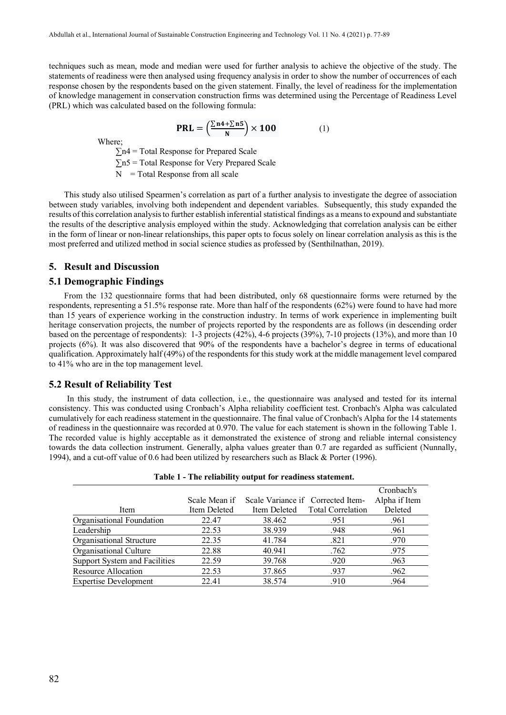techniques such as mean, mode and median were used for further analysis to achieve the objective of the study. The statements of readiness were then analysed using frequency analysis in order to show the number of occurrences of each response chosen by the respondents based on the given statement. Finally, the level of readiness for the implementation of knowledge management in conservation construction firms was determined using the Percentage of Readiness Level (PRL) which was calculated based on the following formula:

 $\text{PRL} = \left(\frac{\sum n4 + \sum n5}{N}\right) \times 100$  (1)

Where;

 $\Sigma$ n4 = Total Response for Prepared Scale

∑n5 = Total Response for Very Prepared Scale

 $N =$ Total Response from all scale

This study also utilised Spearmen's correlation as part of a further analysis to investigate the degree of association between study variables, involving both independent and dependent variables. Subsequently, this study expanded the results of this correlation analysis to further establish inferential statistical findings as a means to expound and substantiate the results of the descriptive analysis employed within the study. Acknowledging that correlation analysis can be either in the form of linear or non-linear relationships, this paper opts to focus solely on linear correlation analysis as this is the most preferred and utilized method in social science studies as professed by (Senthilnathan, 2019).

#### **5. Result and Discussion**

#### **5.1 Demographic Findings**

From the 132 questionnaire forms that had been distributed, only 68 questionnaire forms were returned by the respondents, representing a 51.5% response rate. More than half of the respondents (62%) were found to have had more than 15 years of experience working in the construction industry. In terms of work experience in implementing built heritage conservation projects, the number of projects reported by the respondents are as follows (in descending order based on the percentage of respondents): 1-3 projects (42%), 4-6 projects (39%), 7-10 projects (13%), and more than 10 projects (6%). It was also discovered that 90% of the respondents have a bachelor's degree in terms of educational qualification. Approximately half (49%) of the respondents for this study work at the middle management level compared to 41% who are in the top management level.

#### **5.2 Result of Reliability Test**

In this study, the instrument of data collection, i.e., the questionnaire was analysed and tested for its internal consistency. This was conducted using Cronbach's Alpha reliability coefficient test. Cronbach's Alpha was calculated cumulatively for each readiness statement in the questionnaire. The final value of Cronbach's Alpha for the 14 statements of readiness in the questionnaire was recorded at 0.970. The value for each statement is shown in the following Table 1. The recorded value is highly acceptable as it demonstrated the existence of strong and reliable internal consistency towards the data collection instrument. Generally, alpha values greater than 0.7 are regarded as sufficient (Nunnally, 1994), and a cut-off value of 0.6 had been utilized by researchers such as Black & Porter (1996).

| <b>Table 1 - The renability output for readiness statement.</b> |               |                                   |                                |               |  |  |  |
|-----------------------------------------------------------------|---------------|-----------------------------------|--------------------------------|---------------|--|--|--|
|                                                                 |               |                                   |                                | Cronbach's    |  |  |  |
|                                                                 | Scale Mean if | Scale Variance if Corrected Item- |                                | Alpha if Item |  |  |  |
| Item                                                            | Item Deleted  |                                   | Item Deleted Total Correlation | Deleted       |  |  |  |
| Organisational Foundation                                       | 22.47         | 38.462                            | .951                           | .961          |  |  |  |
| Leadership                                                      | 22.53         | 38.939                            | .948                           | .961          |  |  |  |
| Organisational Structure                                        | 22.35         | 41.784                            | .821                           | .970          |  |  |  |
| Organisational Culture                                          | 22.88         | 40.941                            | .762                           | .975          |  |  |  |
| Support System and Facilities                                   | 22.59         | 39.768                            | .920                           | .963          |  |  |  |
| Resource Allocation                                             | 22.53         | 37.865                            | .937                           | .962          |  |  |  |
| <b>Expertise Development</b>                                    | 22.41         | 38.574                            | .910                           | .964          |  |  |  |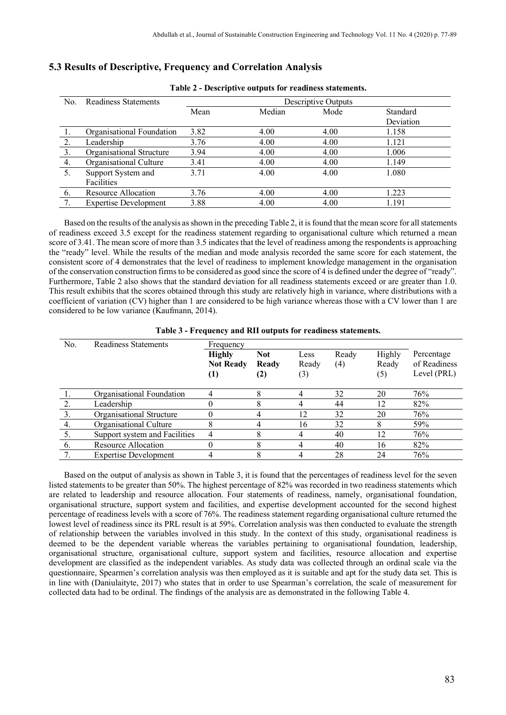|     | Table 2 - Descriptive outputs for readiness statements. |      |                     |      |           |  |
|-----|---------------------------------------------------------|------|---------------------|------|-----------|--|
| No. | <b>Readiness Statements</b>                             |      | Descriptive Outputs |      |           |  |
|     |                                                         | Mean | Median              | Mode | Standard  |  |
|     |                                                         |      |                     |      | Deviation |  |
|     | Organisational Foundation                               | 3.82 | 4.00                | 4.00 | 1.158     |  |
| 2.  | Leadership                                              | 3.76 | 4.00                | 4.00 | 1.121     |  |
| 3.  | Organisational Structure                                | 3.94 | 4.00                | 4.00 | 1.006     |  |
| 4.  | Organisational Culture                                  | 3.41 | 4.00                | 4.00 | 1.149     |  |
| 5.  | Support System and                                      | 3.71 | 4.00                | 4.00 | 1.080     |  |
|     | Facilities                                              |      |                     |      |           |  |
| -6. | Resource Allocation                                     | 3.76 | 4.00                | 4.00 | 1.223     |  |
| 7.  | <b>Expertise Development</b>                            | 3.88 | 4.00                | 4.00 | 1.191     |  |

## **5.3 Results of Descriptive, Frequency and Correlation Analysis**

Based on the results of the analysis as shown in the preceding Table 2, it is found that the mean score for all statements of readiness exceed 3.5 except for the readiness statement regarding to organisational culture which returned a mean score of 3.41. The mean score of more than 3.5 indicates that the level of readiness among the respondents is approaching the "ready" level. While the results of the median and mode analysis recorded the same score for each statement, the consistent score of 4 demonstrates that the level of readiness to implement knowledge management in the organisation of the conservation construction firms to be considered as good since the score of 4 is defined under the degree of "ready". Furthermore, Table 2 also shows that the standard deviation for all readiness statements exceed or are greater than 1.0. This result exhibits that the scores obtained through this study are relatively high in variance, where distributions with a coefficient of variation (CV) higher than 1 are considered to be high variance whereas those with a CV lower than 1 are considered to be low variance [\(Kaufmann,](https://www.researchgate.net/profile/Joshka_Kaufmann) 2014).

|  | Table 3 - Frequency and RII outputs for readiness statements. |  |  |
|--|---------------------------------------------------------------|--|--|
|  |                                                               |  |  |

| No. | Readiness Statements          | Frequency         |            |       |       |        |              |
|-----|-------------------------------|-------------------|------------|-------|-------|--------|--------------|
|     |                               | <b>Highly</b>     | <b>Not</b> | Less  | Ready | Highly | Percentage   |
|     |                               | <b>Not Ready</b>  | Ready      | Ready | (4)   | Ready  | of Readiness |
|     |                               | $\left( 1\right)$ | (2)        | (3)   |       | (5)    | Level (PRL)  |
|     |                               |                   |            |       |       |        |              |
|     | Organisational Foundation     |                   |            |       | 32    | 20     | 76%          |
|     | Leadership                    | 0                 |            |       | 44    | 12     | 82%          |
|     | Organisational Structure      | 0                 |            | 12    | 32    | 20     | 76%          |
| 4.  | Organisational Culture        | 8                 |            | 16    | 32    | 8      | 59%          |
|     | Support system and Facilities |                   |            |       | 40    | 12     | 76%          |
| 6.  | Resource Allocation           | 0                 |            |       | 40    | 16     | 82%          |
|     | <b>Expertise Development</b>  |                   |            |       | 28    | 24     | 76%          |

Based on the output of analysis as shown in Table 3, it is found that the percentages of readiness level for the seven listed statements to be greater than 50%. The highest percentage of 82% was recorded in two readiness statements which are related to leadership and resource allocation. Four statements of readiness, namely, organisational foundation, organisational structure, support system and facilities, and expertise development accounted for the second highest percentage of readiness levels with a score of 76%. The readiness statement regarding organisational culture returned the lowest level of readiness since its PRL result is at 59%. Correlation analysis was then conducted to evaluate the strength of relationship between the variables involved in this study. In the context of this study, organisational readiness is deemed to be the dependent variable whereas the variables pertaining to organisational foundation, leadership, organisational structure, organisational culture, support system and facilities, resource allocation and expertise development are classified as the independent variables. As study data was collected through an ordinal scale via the questionnaire, Spearmen's correlation analysis was then employed as it is suitable and apt for the study data set. This is in line with (Daniulaityte, 2017) who states that in order to use Spearman's correlation, the scale of measurement for collected data had to be ordinal. The findings of the analysis are as demonstrated in the following Table 4.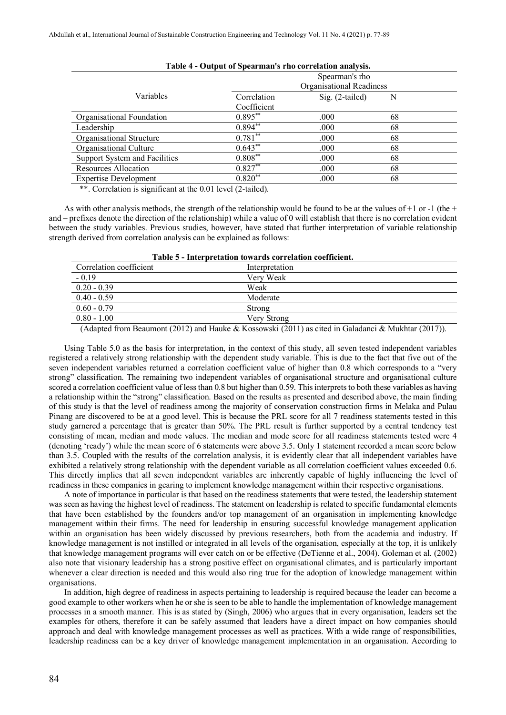| Table 4 - Output of Spearman's rho correlation analysis. |                |                          |    |  |  |
|----------------------------------------------------------|----------------|--------------------------|----|--|--|
|                                                          | Spearman's rho |                          |    |  |  |
|                                                          |                | Organisational Readiness |    |  |  |
| Variables                                                | Correlation    | Sig. (2-tailed)          | N  |  |  |
|                                                          | Coefficient    |                          |    |  |  |
| Organisational Foundation                                | $0.895**$      | .000                     | 68 |  |  |
| Leadership                                               | $0.894**$      | .000                     | 68 |  |  |
| Organisational Structure                                 | $0.781**$      | .000                     | 68 |  |  |
| Organisational Culture                                   | $0.643**$      | .000                     | 68 |  |  |
| Support System and Facilities                            | $0.808***$     | .000                     | 68 |  |  |
| Resources Allocation                                     | $0.827**$      | .000                     | 68 |  |  |
| <b>Expertise Development</b>                             | $0.820**$      | .000                     | 68 |  |  |
|                                                          |                |                          |    |  |  |

\*\*. Correlation is significant at the 0.01 level (2-tailed).

As with other analysis methods, the strength of the relationship would be found to be at the values of  $+1$  or  $-1$  (the  $+$ and – prefixes denote the direction of the relationship) while a value of 0 will establish that there is no correlation evident between the study variables. Previous studies, however, have stated that further interpretation of variable relationship strength derived from correlation analysis can be explained as follows:

| <u>1 aprel - Hitch pretation towal us correlation coefficient.</u> |                |  |  |  |
|--------------------------------------------------------------------|----------------|--|--|--|
| Correlation coefficient                                            | Interpretation |  |  |  |
| $-0.19$                                                            | Very Weak      |  |  |  |
| $0.20 - 0.39$                                                      | Weak           |  |  |  |
| $0.40 - 0.59$                                                      | Moderate       |  |  |  |
| $0.60 - 0.79$                                                      | Strong         |  |  |  |
| $0.80 - 1.00$                                                      | Verv Strong    |  |  |  |
|                                                                    |                |  |  |  |

| Table 5 - Interpretation towards correlation coefficient. |  |  |  |  |
|-----------------------------------------------------------|--|--|--|--|
|-----------------------------------------------------------|--|--|--|--|

(Adapted from Beaumont (2012) and Hauke & Kossowski (2011) as cited in Galadanci & Mukhtar (2017)).

Using Table 5.0 as the basis for interpretation, in the context of this study, all seven tested independent variables registered a relatively strong relationship with the dependent study variable. This is due to the fact that five out of the seven independent variables returned a correlation coefficient value of higher than 0.8 which corresponds to a "very strong" classification. The remaining two independent variables of organisational structure and organisational culture scored a correlation coefficient value of less than 0.8 but higher than 0.59. This interprets to both these variables as having a relationship within the "strong" classification. Based on the results as presented and described above, the main finding of this study is that the level of readiness among the majority of conservation construction firms in Melaka and Pulau Pinang are discovered to be at a good level. This is because the PRL score for all 7 readiness statements tested in this study garnered a percentage that is greater than 50%. The PRL result is further supported by a central tendency test consisting of mean, median and mode values. The median and mode score for all readiness statements tested were 4 (denoting 'ready') while the mean score of 6 statements were above 3.5. Only 1 statement recorded a mean score below than 3.5. Coupled with the results of the correlation analysis, it is evidently clear that all independent variables have exhibited a relatively strong relationship with the dependent variable as all correlation coefficient values exceeded 0.6. This directly implies that all seven independent variables are inherently capable of highly influencing the level of readiness in these companies in gearing to implement knowledge management within their respective organisations.

A note of importance in particular is that based on the readiness statements that were tested, the leadership statement was seen as having the highest level of readiness. The statement on leadership is related to specific fundamental elements that have been established by the founders and/or top management of an organisation in implementing knowledge management within their firms. The need for leadership in ensuring successful knowledge management application within an organisation has been widely discussed by previous researchers, both from the academia and industry. If knowledge management is not instilled or integrated in all levels of the organisation, especially at the top, it is unlikely that knowledge management programs will ever catch on or be effective (DeTienne et al., 2004). Goleman et al. (2002) also note that visionary leadership has a strong positive effect on organisational climates, and is particularly important whenever a clear direction is needed and this would also ring true for the adoption of knowledge management within organisations.

In addition, high degree of readiness in aspects pertaining to leadership is required because the leader can become a good example to other workers when he or she is seen to be able to handle the implementation of knowledge management processes in a smooth manner. This is as stated by (Singh, 2006) who argues that in every organisation, leaders set the examples for others, therefore it can be safely assumed that leaders have a direct impact on how companies should approach and deal with knowledge management processes as well as practices. With a wide range of responsibilities, leadership readiness can be a key driver of knowledge management implementation in an organisation. According to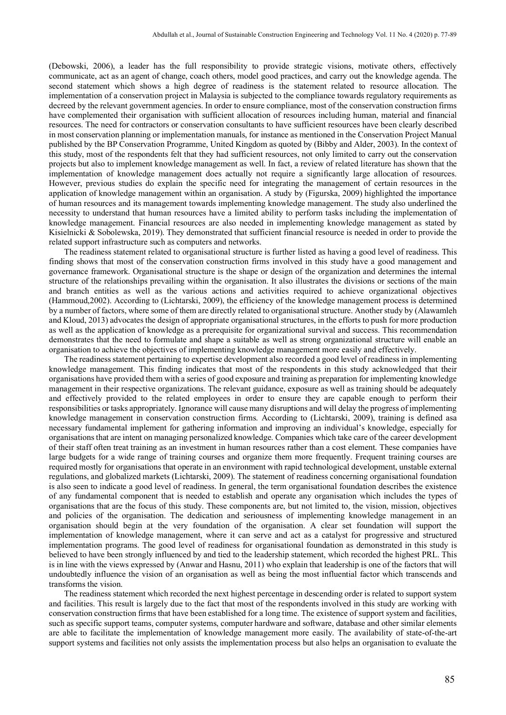(Debowski, 2006), a leader has the full responsibility to provide strategic visions, motivate others, effectively communicate, act as an agent of change, coach others, model good practices, and carry out the knowledge agenda. The second statement which shows a high degree of readiness is the statement related to resource allocation. The implementation of a conservation project in Malaysia is subjected to the compliance towards regulatory requirements as decreed by the relevant government agencies. In order to ensure compliance, most of the conservation construction firms have complemented their organisation with sufficient allocation of resources including human, material and financial resources. The need for contractors or conservation consultants to have sufficient resources have been clearly described in most conservation planning or implementation manuals, for instance as mentioned in the Conservation Project Manual published by the BP Conservation Programme, United Kingdom as quoted by (Bibby and Alder, 2003). In the context of this study, most of the respondents felt that they had sufficient resources, not only limited to carry out the conservation projects but also to implement knowledge management as well. In fact, a review of related literature has shown that the implementation of knowledge management does actually not require a significantly large allocation of resources. However, previous studies do explain the specific need for integrating the management of certain resources in the application of knowledge management within an organisation. A study by (Figurska, 2009) highlighted the importance of human resources and its management towards implementing knowledge management. The study also underlined the necessity to understand that human resources have a limited ability to perform tasks including the implementation of knowledge management. Financial resources are also needed in implementing knowledge management as stated by Kisielnicki & Sobolewska, 2019). They demonstrated that sufficient financial resource is needed in order to provide the related support infrastructure such as computers and networks.

The readiness statement related to organisational structure is further listed as having a good level of readiness. This finding shows that most of the conservation construction firms involved in this study have a good management and governance framework. Organisational structure is the shape or design of the organization and determines the internal structure of the relationships prevailing within the organisation. It also illustrates the divisions or sections of the main and branch entities as well as the various actions and activities required to achieve organizational objectives (Hammoud,2002). According to (Lichtarski, 2009), the efficiency of the knowledge management process is determined by a number of factors, where some of them are directly related to organisational structure. Another study by (Alawamleh and Kloud, 2013) advocates the design of appropriate organisational structures, in the efforts to push for more production as well as the application of knowledge as a prerequisite for organizational survival and success. This recommendation demonstrates that the need to formulate and shape a suitable as well as strong organizational structure will enable an organisation to achieve the objectives of implementing knowledge management more easily and effectively.

The readiness statement pertaining to expertise development also recorded a good level of readiness in implementing knowledge management. This finding indicates that most of the respondents in this study acknowledged that their organisations have provided them with a series of good exposure and training as preparation for implementing knowledge management in their respective organizations. The relevant guidance, exposure as well as training should be adequately and effectively provided to the related employees in order to ensure they are capable enough to perform their responsibilities or tasks appropriately. Ignorance will cause many disruptions and will delay the progress of implementing knowledge management in conservation construction firms. According to (Lichtarski, 2009), training is defined asa necessary fundamental implement for gathering information and improving an individual's knowledge, especially for organisations that are intent on managing personalized knowledge. Companies which take care of the career development of their staff often treat training as an investment in human resources rather than a cost element. These companies have large budgets for a wide range of training courses and organize them more frequently. Frequent training courses are required mostly for organisations that operate in an environment with rapid technological development, unstable external regulations, and globalized markets (Lichtarski, 2009). The statement of readiness concerning organisational foundation is also seen to indicate a good level of readiness. In general, the term organisational foundation describes the existence of any fundamental component that is needed to establish and operate any organisation which includes the types of organisations that are the focus of this study. These components are, but not limited to, the vision, mission, objectives and policies of the organisation. The dedication and seriousness of implementing knowledge management in an organisation should begin at the very foundation of the organisation. A clear set foundation will support the implementation of knowledge management, where it can serve and act as a catalyst for progressive and structured implementation programs. The good level of readiness for organisational foundation as demonstrated in this study is believed to have been strongly influenced by and tied to the leadership statement, which recorded the highest PRL. This is in line with the views expressed by (Anwar and Hasnu, 2011) who explain that leadership is one of the factors that will undoubtedly influence the vision of an organisation as well as being the most influential factor which transcends and transforms the vision.

The readiness statement which recorded the next highest percentage in descending order is related to support system and facilities. This result is largely due to the fact that most of the respondents involved in this study are working with conservation construction firms that have been established for a long time. The existence of support system and facilities, such as specific support teams, computer systems, computer hardware and software, database and other similar elements are able to facilitate the implementation of knowledge management more easily. The availability of state-of-the-art support systems and facilities not only assists the implementation process but also helps an organisation to evaluate the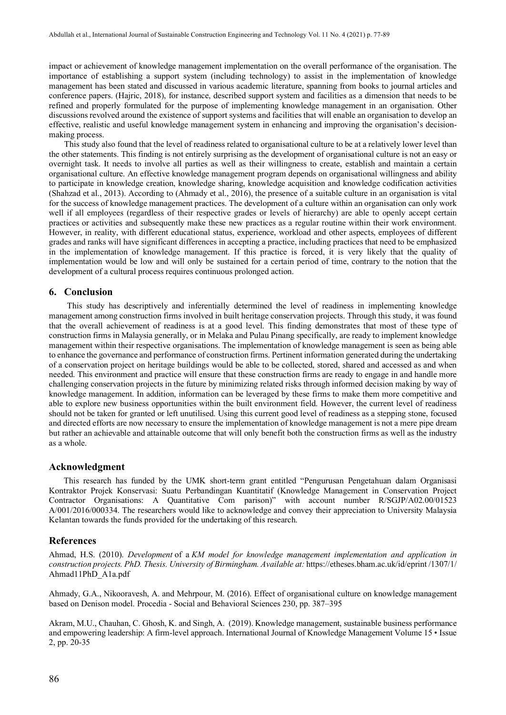impact or achievement of knowledge management implementation on the overall performance of the organisation. The importance of establishing a support system (including technology) to assist in the implementation of knowledge management has been stated and discussed in various academic literature, spanning from books to journal articles and conference papers. (Hajric, 2018), for instance, described support system and facilities as a dimension that needs to be refined and properly formulated for the purpose of implementing knowledge management in an organisation. Other discussions revolved around the existence of support systems and facilities that will enable an organisation to develop an effective, realistic and useful knowledge management system in enhancing and improving the organisation's decisionmaking process.

This study also found that the level of readiness related to organisational culture to be at a relatively lower level than the other statements. This finding is not entirely surprising as the development of organisational culture is not an easy or overnight task. It needs to involve all parties as well as their willingness to create, establish and maintain a certain organisational culture. An effective knowledge management program depends on organisational willingness and ability to participate in knowledge creation, knowledge sharing, knowledge acquisition and knowledge codification activities (Shahzad et al., 2013). According to (Ahmady et al., 2016), the presence of a suitable culture in an organisation is vital for the success of knowledge management practices. The development of a culture within an organisation can only work well if all employees (regardless of their respective grades or levels of hierarchy) are able to openly accept certain practices or activities and subsequently make these new practices as a regular routine within their work environment. However, in reality, with different educational status, experience, workload and other aspects, employees of different grades and ranks will have significant differences in accepting a practice, including practices that need to be emphasized in the implementation of knowledge management. If this practice is forced, it is very likely that the quality of implementation would be low and will only be sustained for a certain period of time, contrary to the notion that the development of a cultural process requires continuous prolonged action.

### **6. Conclusion**

This study has descriptively and inferentially determined the level of readiness in implementing knowledge management among construction firms involved in built heritage conservation projects. Through this study, it was found that the overall achievement of readiness is at a good level. This finding demonstrates that most of these type of construction firms in Malaysia generally, or in Melaka and Pulau Pinang specifically, are ready to implement knowledge management within their respective organisations. The implementation of knowledge management is seen as being able to enhance the governance and performance of construction firms. Pertinent information generated during the undertaking of a conservation project on heritage buildings would be able to be collected, stored, shared and accessed as and when needed. This environment and practice will ensure that these construction firms are ready to engage in and handle more challenging conservation projects in the future by minimizing related risks through informed decision making by way of knowledge management. In addition, information can be leveraged by these firms to make them more competitive and able to explore new business opportunities within the built environment field. However, the current level of readiness should not be taken for granted or left unutilised. Using this current good level of readiness as a stepping stone, focused and directed efforts are now necessary to ensure the implementation of knowledge management is not a mere pipe dream but rather an achievable and attainable outcome that will only benefit both the construction firms as well as the industry as a whole.

#### **Acknowledgment**

 This research has funded by the UMK short-term grant entitled "Pengurusan Pengetahuan dalam Organisasi Kontraktor Projek Konservasi: Suatu Perbandingan Kuantitatif (Knowledge Management in Conservation Project Contractor Organisations: A Quantitative Com parison)" with account number R/SGJP/A02.00/01523 A/001/2016/000334. The researchers would like to acknowledge and convey their appreciation to University Malaysia Kelantan towards the funds provided for the undertaking of this research.

#### **References**

Ahmad, H.S. (2010). *Development* of a *KM model for knowledge management implementation and application in construction projects. PhD. Thesis. University of Birmingham. Available at:* [https://etheses.bham.ac.uk/id/eprint /1307/1/](https://etheses.bham.ac.uk/id/eprint%20/1307/1/%20Ahmad11PhD_A1a.pdf)  [Ahmad11PhD\\_A1a.pdf](https://etheses.bham.ac.uk/id/eprint%20/1307/1/%20Ahmad11PhD_A1a.pdf)

Ahmady, G.A., Nikooravesh, A. and Mehrpour, M. (2016). Effect of organisational culture on knowledge management based on Denison model. Procedia - Social and Behavioral Sciences 230, pp. 387–395

Akram, M.U., Chauhan, C. Ghosh, K. and Singh, A. (2019). Knowledge management, sustainable business performance and empowering leadership: A firm-level approach. International Journal of Knowledge Management Volume 15 • Issue 2, pp. 20-35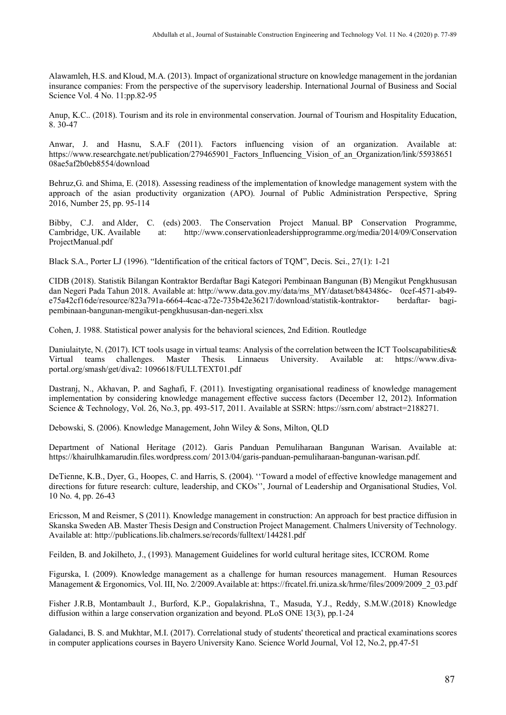Alawamleh, H.S. and Kloud, M.A. (2013). Impact of organizational structure on knowledge management in the jordanian insurance companies: From the perspective of the supervisory leadership. International Journal of Business and Social Science Vol. 4 No. 11:pp.82-95

Anup, K.C.. (2018). Tourism and its role in environmental conservation. Journal of Tourism and Hospitality Education, 8. 30-47

Anwar, J. and Hasnu, S.A.F (2011). Factors influencing vision of an organization. Available at: https://www.researchgate.net/publication/279465901 Factors Influencing Vision of an Organization/link/55938651 [08ae5af2b0eb8554/download](https://www.researchgate.net/publication/279465901_Factors_Influencing_Vision_of_an_Organization/link/5593865108ae5af2b0eb8554/download)

[Behruz,](https://www.sid.ir/en/Journal/SearchPaper.aspx?writer=809933)G. and [Shima,](https://www.sid.ir/en/Journal/SearchPaper.aspx?writer=253410) E. (2018). Assessing readiness of the implementation of knowledge management system with the approach of the asian productivity organization (APO). [Journal of Public Administration Perspective,](https://www.sid.ir/en/Journal/JournalList.aspx?ID=14900) Spring 2016, Number 25, pp. 95-114

Bibby, C.J. and Alder, C. (eds) 2003. The Conservation Project Manual. BP Conservation Programme, Cambridge, UK. Available at: http://www.conservationleadershipprogramme.org/media/2014/09/Conservation at: http://www.conservationleadershipprogramme.org/media/2014/09/Conservation [ProjectManual.pdf](http://www.conservationleadershipprogramme.org/media/2014/09/Conservation%20ProjectManual.pdf)

Black S.A., Porter LJ (1996). "Identification of the critical factors of TQM", Decis. Sci., 27(1): 1-21

CIDB (2018). Statistik Bilangan Kontraktor Berdaftar Bagi Kategori Pembinaan Bangunan (B) Mengikut Pengkhususan dan Negeri Pada Tahun 2018. Available at: [http://www.data.gov.my/data/ms\\_MY/dataset/b843486c- 0cef-4571-ab49](http://www.data.gov.my/data/ms_MY/dataset/b843486c-%20%20%20%200cef-4571-ab49-e75a42cf16de/resource/823a791a-6664-4cac-a72e-735b42e36217/download/statistik-kontraktor-%20%20berdaftar-%20bagi-pembinaan-bangunan-mengikut-pengkhususan-dan-negeri.xlsx) [e75a42cf16de/resource/823a791a-6664-4cac-a72e-735b42e36217/download/statistik-kontraktor- berdaftar-](http://www.data.gov.my/data/ms_MY/dataset/b843486c-%20%20%20%200cef-4571-ab49-e75a42cf16de/resource/823a791a-6664-4cac-a72e-735b42e36217/download/statistik-kontraktor-%20%20berdaftar-%20bagi-pembinaan-bangunan-mengikut-pengkhususan-dan-negeri.xlsx) bagi[pembinaan-bangunan-mengikut-pengkhususan-dan-negeri.xlsx](http://www.data.gov.my/data/ms_MY/dataset/b843486c-%20%20%20%200cef-4571-ab49-e75a42cf16de/resource/823a791a-6664-4cac-a72e-735b42e36217/download/statistik-kontraktor-%20%20berdaftar-%20bagi-pembinaan-bangunan-mengikut-pengkhususan-dan-negeri.xlsx)

Cohen, J. 1988. Statistical power analysis for the behavioral sciences, 2nd Edition. Routledge

Daniulaityte, N. (2017). ICT tools usage in virtual teams: Analysis of the correlation between the ICT Toolscapabilities & Virtual teams challenges. Master Thesis. Linnaeus University. Available at: [https://www.diva](https://www.diva-portal.org/smash/get/diva2:%201096618/FULLTEXT01.pdf)[portal.org/smash/get/diva2: 1096618/FULLTEXT01.pdf](https://www.diva-portal.org/smash/get/diva2:%201096618/FULLTEXT01.pdf)

Dastranj, N., Akhavan, P. and Saghafi, F. (2011). Investigating organisational readiness of knowledge management implementation by considering knowledge management effective success factors (December 12, 2012). Information Science & Technology, Vol. 26, No.3, pp. 493-517, 2011. Available at SSRN: [https://ssrn.com/ abstract=2188271.](https://ssrn.com/%20abstract=2188271)

Debowski, S. (2006). Knowledge Management, John Wiley & Sons, Milton, QLD

Department of National Heritage (2012). Garis Panduan Pemuliharaan Bangunan Warisan. Available at: [https://khairulhkamarudin.files.wordpress.com/ 2013/04/garis-panduan-pemuliharaan-bangunan-warisan.pdf.](https://khairulhkamarudin.files.wordpress.com/%202013/04/garis-panduan-pemuliharaan-bangunan-warisan.pdf)

DeTienne, K.B., Dyer, G., Hoopes, C. and Harris, S. (2004). ''Toward a model of effective knowledge management and directions for future research: culture, leadership, and CKOs'', Journal of Leadership and Organisational Studies, Vol. 10 No. 4, pp. 26-43

Ericsson, M and Reismer, S (2011). Knowledge management in construction: An approach for best practice diffusion in Skanska Sweden AB. Master Thesis Design and Construction Project Management. Chalmers University of Technology. Available at[: http://publications.lib.chalmers.se/records/fulltext/144281.pdf](http://publications.lib.chalmers.se/records/fulltext/144281.pdf)

Feilden, B. and Jokilheto, J., (1993). Management Guidelines for world cultural heritage sites, ICCROM. Rome

Figurska, I. (2009). Knowledge management as a challenge for human resources management. Human Resources Management & Ergonomics, Vol. III, No. 2/2009. Available at[: https://frcatel.fri.uniza.sk/hrme/files/2009/2009\\_2\\_03.pdf](https://frcatel.fri.uniza.sk/hrme/files/2009/2009_2_03.pdf)

Fisher J.R.B, Montambault J., Burford, K.P., Gopalakrishna, T., Masuda, Y.J., Reddy, S.M.W.(2018) Knowledge diffusion within a large conservation organization and beyond. PLoS ONE 13(3), pp.1-24

Galadanci, B. S. and Mukhtar, M.I. (2017). Correlational study of students' theoretical and practical examinations scores in computer applications courses in Bayero University Kano. Science World Journal, Vol 12, No.2, pp.47-51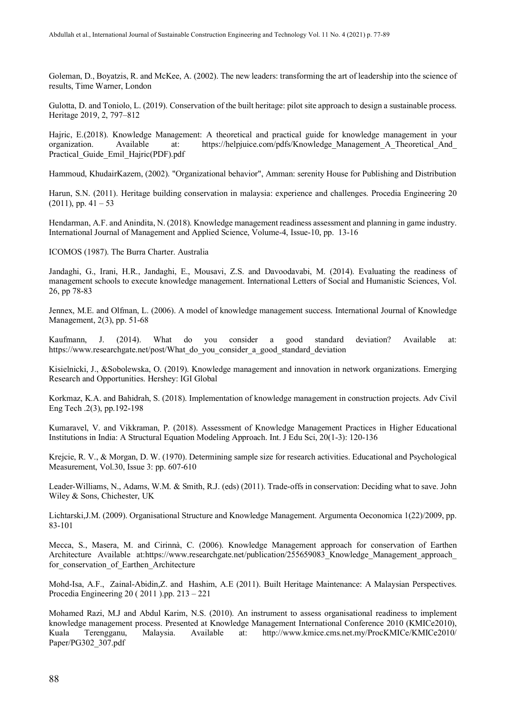Goleman, D., Boyatzis, R. and McKee, A. (2002). The new leaders: transforming the art of leadership into the science of results, Time Warner, London

Gulotta, D. and Toniolo, L. (2019). Conservation of the built heritage: pilot site approach to design a sustainable process. Heritage 2019, 2, 797–812

Hajric, E.(2018). Knowledge Management: A theoretical and practical guide for knowledge management in your organization. Available at: https://helpjuice.com/pdfs/Knowledge Management A Theoretical And organization. Available at: https://helpjuice.com/pdfs/Knowledge\_Management\_A\_Theoretical\_And Practical Guide Emil Hajric(PDF).pdf

Hammoud, KhudairKazem, (2002). "Organizational behavior", Amman: serenity House for Publishing and Distribution

Harun, S.N. (2011). Heritage building conservation in malaysia: experience and challenges. Procedia Engineering 20  $(2011)$ , pp.  $41 - 53$ 

Hendarman, A.F. and Anindita, N. (2018). Knowledge management readiness assessment and planning in game industry. International Journal of Management and Applied Science, Volume-4, Issue-10, pp. 13-16

ICOMOS (1987). The Burra Charter. Australia

Jandaghi, G., Irani, H.R., Jandaghi, E., Mousavi, Z.S. and Davoodavabi, M. (2014). Evaluating the readiness of management schools to execute knowledge management. International Letters of Social and Humanistic Sciences, Vol. 26, pp 78-83

Jennex, M.E. and Olfman, L. (2006). A model of knowledge management success. International Journal of Knowledge Management, 2(3), pp. 51-68

[Kaufmann,](https://www.researchgate.net/profile/Joshka_Kaufmann) J. (2014). What do you consider a good standard deviation? Available at: [https://www.researchgate.net/post/What\\_do\\_you\\_consider\\_a\\_good\\_standard\\_deviation](https://www.researchgate.net/post/What_do_you_consider_a_good_standard_deviation)

Kisielnicki, J., &Sobolewska, O. (2019). Knowledge management and innovation in network organizations. Emerging Research and Opportunities. Hershey: IGI Global

Korkmaz, K.A. and Bahidrah, S. (2018). Implementation of knowledge management in construction projects. Adv Civil Eng Tech .2(3), pp.192-198

Kumaravel, V. and Vikkraman, P. (2018). Assessment of Knowledge Management Practices in Higher Educational Institutions in India: A Structural Equation Modeling Approach. Int. J Edu Sci, 20(1-3): 120-136

Krejcie, R. V., & Morgan, D. W. (1970). Determining sample size for research activities. Educational and Psychological Measurement, Vol.30, Issue 3: pp. 607-610

Leader-Williams, N., Adams, W.M. & Smith, R.J. (eds) (2011). Trade-offs in conservation: Deciding what to save. John Wiley & Sons, Chichester, UK

Lichtarski,J.M. (2009). Organisational Structure and Knowledge Management. Argumenta Oeconomica 1(22)/2009, pp. 83-101

Mecca, S., Masera, M. and Cirinnà, C. (2006). Knowledge Management approach for conservation of Earthen Architecture Available at:https://www.researchgate.net/publication/255659083 Knowledge Management approach for conservation of Earthen Architecture

Mohd-Isa, A.F., Zainal-Abidin,Z. and Hashim, A.E (2011). Built Heritage Maintenance: A Malaysian Perspectives. Procedia Engineering 20 ( 2011 ).pp. 213 – 221

Mohamed Razi, M.J and Abdul Karim, N.S. (2010). An instrument to assess organisational readiness to implement knowledge management process. Presented at Knowledge Management International Conference 2010 (KMICe2010), Kuala Terengganu, Malaysia. Available at: [http://www.kmice.cms.net.my/ProcKMICe/KMICe2010/](http://www.kmice.cms.net.my/ProcKMICe/KMICe2010/%20Paper/PG302_307.pdf)  [Paper/PG302\\_307.pdf](http://www.kmice.cms.net.my/ProcKMICe/KMICe2010/%20Paper/PG302_307.pdf)